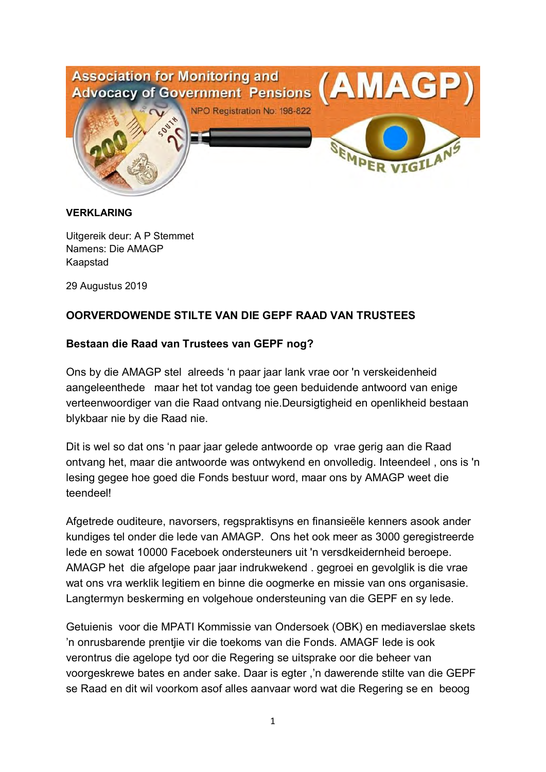

#### **VERKLARING**

Uitgereik deur: A P Stemmet Namens: Die AMAGP Kaapstad

29 Augustus 2019

# **OORVERDOWENDE STILTE VAN DIE GEPF RAAD VAN TRUSTEES**

## **Bestaan die Raad van Trustees van GEPF nog?**

Ons by die AMAGP stel alreeds 'n paar jaar lank vrae oor 'n verskeidenheid aangeleenthede maar het tot vandag toe geen beduidende antwoord van enige verteenwoordiger van die Raad ontvang nie.Deursigtigheid en openlikheid bestaan blykbaar nie by die Raad nie.

Dit is wel so dat ons 'n paar jaar gelede antwoorde op vrae gerig aan die Raad ontvang het, maar die antwoorde was ontwykend en onvolledig. Inteendeel , ons is 'n lesing gegee hoe goed die Fonds bestuur word, maar ons by AMAGP weet die teendeel!

Afgetrede ouditeure, navorsers, regspraktisyns en finansieële kenners asook ander kundiges tel onder die lede van AMAGP. Ons het ook meer as 3000 geregistreerde lede en sowat 10000 Faceboek ondersteuners uit 'n versdkeidernheid beroepe. AMAGP het die afgelope paar jaar indrukwekend . gegroei en gevolglik is die vrae wat ons vra werklik legitiem en binne die oogmerke en missie van ons organisasie. Langtermyn beskerming en volgehoue ondersteuning van die GEPF en sy lede.

Getuienis voor die MPATI Kommissie van Ondersoek (OBK) en mediaverslae skets 'n onrusbarende prentjie vir die toekoms van die Fonds. AMAGF lede is ook verontrus die agelope tyd oor die Regering se uitsprake oor die beheer van voorgeskrewe bates en ander sake. Daar is egter ,'n dawerende stilte van die GEPF se Raad en dit wil voorkom asof alles aanvaar word wat die Regering se en beoog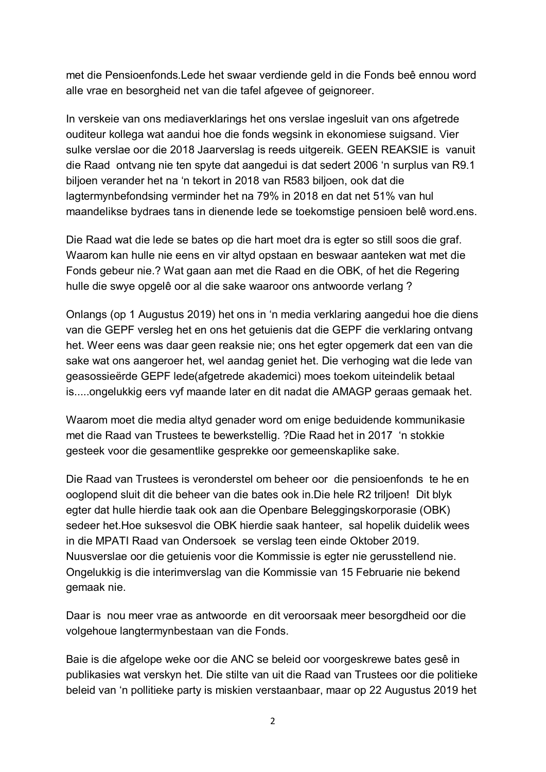met die Pensioenfonds.Lede het swaar verdiende geld in die Fonds beê ennou word alle vrae en besorgheid net van die tafel afgevee of geignoreer.

In verskeie van ons mediaverklarings het ons verslae ingesluit van ons afgetrede ouditeur kollega wat aandui hoe die fonds wegsink in ekonomiese suigsand. Vier sulke verslae oor die 2018 Jaarverslag is reeds uitgereik. GEEN REAKSIE is vanuit die Raad ontvang nie ten spyte dat aangedui is dat sedert 2006 'n surplus van R9.1 biljoen verander het na 'n tekort in 2018 van R583 biljoen, ook dat die lagtermynbefondsing verminder het na 79% in 2018 en dat net 51% van hul maandelikse bydraes tans in dienende lede se toekomstige pensioen belê word.ens.

Die Raad wat die lede se bates op die hart moet dra is egter so still soos die graf. Waarom kan hulle nie eens en vir altyd opstaan en beswaar aanteken wat met die Fonds gebeur nie.? Wat gaan aan met die Raad en die OBK, of het die Regering hulle die swye opgelê oor al die sake waaroor ons antwoorde verlang ?

Onlangs (op 1 Augustus 2019) het ons in 'n media verklaring aangedui hoe die diens van die GEPF versleg het en ons het getuienis dat die GEPF die verklaring ontvang het. Weer eens was daar geen reaksie nie; ons het egter opgemerk dat een van die sake wat ons aangeroer het, wel aandag geniet het. Die verhoging wat die lede van geasossieërde GEPF lede(afgetrede akademici) moes toekom uiteindelik betaal is.....ongelukkig eers vyf maande later en dit nadat die AMAGP geraas gemaak het.

Waarom moet die media altyd genader word om enige beduidende kommunikasie met die Raad van Trustees te bewerkstellig. ?Die Raad het in 2017 'n stokkie gesteek voor die gesamentlike gesprekke oor gemeenskaplike sake.

Die Raad van Trustees is veronderstel om beheer oor die pensioenfonds te he en ooglopend sluit dit die beheer van die bates ook in.Die hele R2 triljoen! Dit blyk egter dat hulle hierdie taak ook aan die Openbare Beleggingskorporasie (OBK) sedeer het.Hoe suksesvol die OBK hierdie saak hanteer, sal hopelik duidelik wees in die MPATI Raad van Ondersoek se verslag teen einde Oktober 2019. Nuusverslae oor die getuienis voor die Kommissie is egter nie gerusstellend nie. Ongelukkig is die interimverslag van die Kommissie van 15 Februarie nie bekend gemaak nie.

Daar is nou meer vrae as antwoorde en dit veroorsaak meer besorgdheid oor die volgehoue langtermynbestaan van die Fonds.

Baie is die afgelope weke oor die ANC se beleid oor voorgeskrewe bates gesê in publikasies wat verskyn het. Die stilte van uit die Raad van Trustees oor die politieke beleid van 'n pollitieke party is miskien verstaanbaar, maar op 22 Augustus 2019 het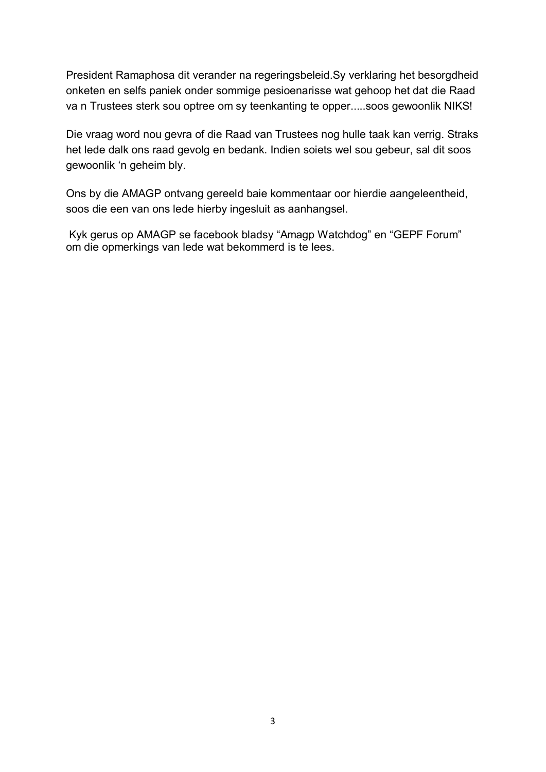President Ramaphosa dit verander na regeringsbeleid.Sy verklaring het besorgdheid onketen en selfs paniek onder sommige pesioenarisse wat gehoop het dat die Raad va n Trustees sterk sou optree om sy teenkanting te opper.....soos gewoonlik NIKS!

Die vraag word nou gevra of die Raad van Trustees nog hulle taak kan verrig. Straks het lede dalk ons raad gevolg en bedank. Indien soiets wel sou gebeur, sal dit soos gewoonlik 'n geheim bly.

Ons by die AMAGP ontvang gereeld baie kommentaar oor hierdie aangeleentheid, soos die een van ons lede hierby ingesluit as aanhangsel.

 Kyk gerus op AMAGP se facebook bladsy "Amagp Watchdog" en "GEPF Forum" om die opmerkings van lede wat bekommerd is te lees.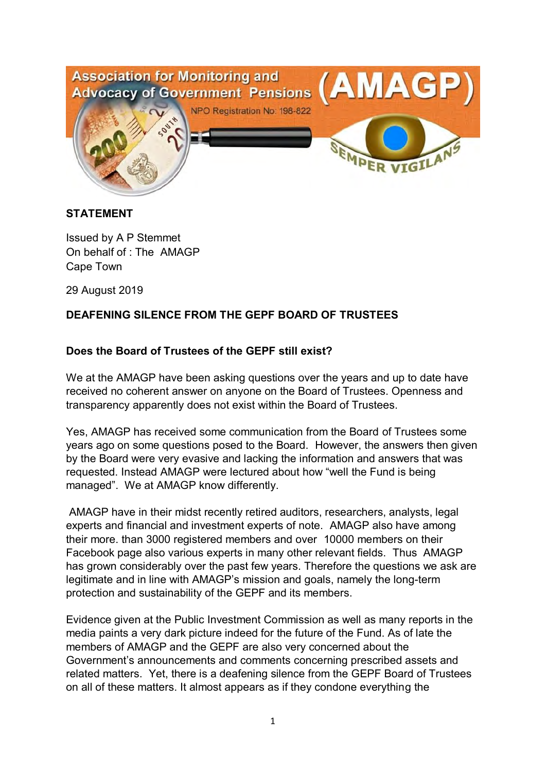

#### **STATEMENT**

Issued by A P Stemmet On behalf of : The AMAGP Cape Town

29 August 2019

## **DEAFENING SILENCE FROM THE GEPF BOARD OF TRUSTEES**

## **Does the Board of Trustees of the GEPF still exist?**

We at the AMAGP have been asking questions over the years and up to date have received no coherent answer on anyone on the Board of Trustees. Openness and transparency apparently does not exist within the Board of Trustees.

Yes, AMAGP has received some communication from the Board of Trustees some years ago on some questions posed to the Board. However, the answers then given by the Board were very evasive and lacking the information and answers that was requested. Instead AMAGP were lectured about how "well the Fund is being managed". We at AMAGP know differently.

 AMAGP have in their midst recently retired auditors, researchers, analysts, legal experts and financial and investment experts of note. AMAGP also have among their more. than 3000 registered members and over 10000 members on their Facebook page also various experts in many other relevant fields. Thus AMAGP has grown considerably over the past few years. Therefore the questions we ask are legitimate and in line with AMAGP's mission and goals, namely the long-term protection and sustainability of the GEPF and its members.

Evidence given at the Public Investment Commission as well as many reports in the media paints a very dark picture indeed for the future of the Fund. As of late the members of AMAGP and the GEPF are also very concerned about the Government's announcements and comments concerning prescribed assets and related matters. Yet, there is a deafening silence from the GEPF Board of Trustees on all of these matters. It almost appears as if they condone everything the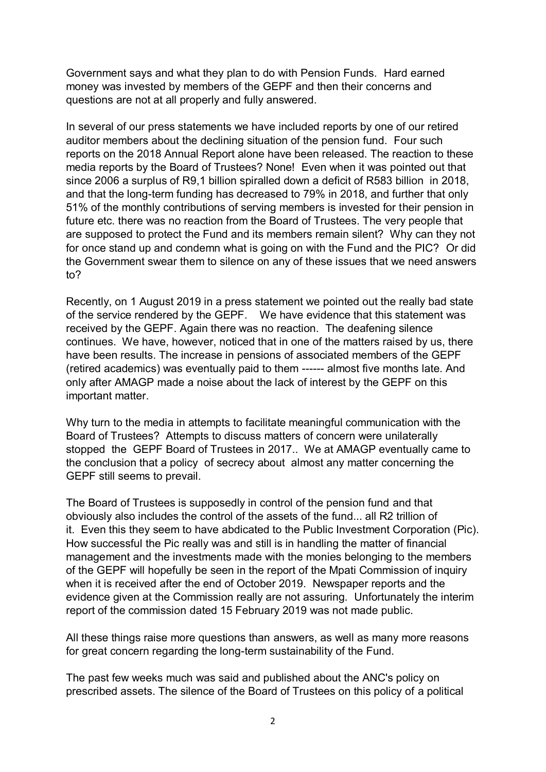Government says and what they plan to do with Pension Funds. Hard earned money was invested by members of the GEPF and then their concerns and questions are not at all properly and fully answered.

In several of our press statements we have included reports by one of our retired auditor members about the declining situation of the pension fund. Four such reports on the 2018 Annual Report alone have been released. The reaction to these media reports by the Board of Trustees? None! Even when it was pointed out that since 2006 a surplus of R9,1 billion spiralled down a deficit of R583 billion in 2018, and that the long-term funding has decreased to 79% in 2018, and further that only 51% of the monthly contributions of serving members is invested for their pension in future etc. there was no reaction from the Board of Trustees. The very people that are supposed to protect the Fund and its members remain silent? Why can they not for once stand up and condemn what is going on with the Fund and the PIC? Or did the Government swear them to silence on any of these issues that we need answers to?

Recently, on 1 August 2019 in a press statement we pointed out the really bad state of the service rendered by the GEPF. We have evidence that this statement was received by the GEPF. Again there was no reaction. The deafening silence continues. We have, however, noticed that in one of the matters raised by us, there have been results. The increase in pensions of associated members of the GEPF (retired academics) was eventually paid to them ------ almost five months late. And only after AMAGP made a noise about the lack of interest by the GEPF on this important matter.

Why turn to the media in attempts to facilitate meaningful communication with the Board of Trustees? Attempts to discuss matters of concern were unilaterally stopped the GEPF Board of Trustees in 2017.. We at AMAGP eventually came to the conclusion that a policy of secrecy about almost any matter concerning the GEPF still seems to prevail.

The Board of Trustees is supposedly in control of the pension fund and that obviously also includes the control of the assets of the fund... all R2 trillion of it. Even this they seem to have abdicated to the Public Investment Corporation (Pic). How successful the Pic really was and still is in handling the matter of financial management and the investments made with the monies belonging to the members of the GEPF will hopefully be seen in the report of the Mpati Commission of inquiry when it is received after the end of October 2019. Newspaper reports and the evidence given at the Commission really are not assuring. Unfortunately the interim report of the commission dated 15 February 2019 was not made public.

All these things raise more questions than answers, as well as many more reasons for great concern regarding the long-term sustainability of the Fund.

The past few weeks much was said and published about the ANC's policy on prescribed assets. The silence of the Board of Trustees on this policy of a political